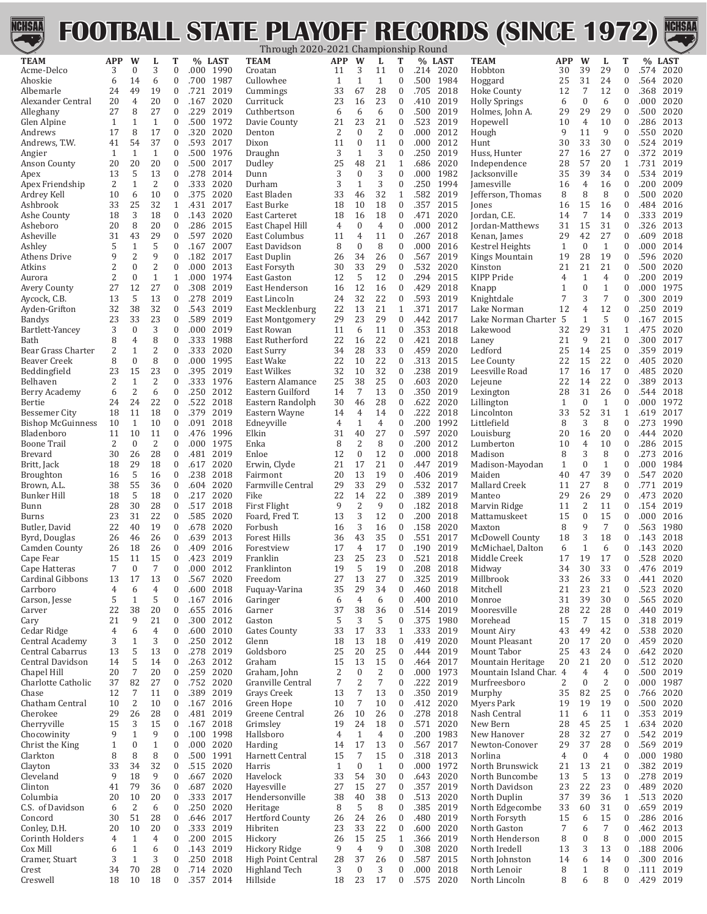

## **FOOTBALL STATE PLAYOFF RECORDS (SINCE 1972)**



|                                     |                |                              |                                |                                      |              |                   | Through 2020-2021 Championship Round |                      |                        |                    |                                      |              |              |                                              |                   |                                  |                      |                                      |              |              |
|-------------------------------------|----------------|------------------------------|--------------------------------|--------------------------------------|--------------|-------------------|--------------------------------------|----------------------|------------------------|--------------------|--------------------------------------|--------------|--------------|----------------------------------------------|-------------------|----------------------------------|----------------------|--------------------------------------|--------------|--------------|
| <b>TEAM</b>                         | <b>APP</b>     | W                            | L                              | T                                    |              | % LAST            | <b>TEAM</b>                          | <b>APP</b>           | W                      | L                  | Т                                    |              | % LAST       | <b>TEAM</b>                                  | APP               | W                                | L                    | T                                    |              | % LAST       |
| Acme-Delco<br>Ahoskie               | 3              | 0                            | 3<br>6                         | $\boldsymbol{0}$<br>$\boldsymbol{0}$ |              | .000 1990         | Croatan<br>Cullowhee                 | 11                   | 3                      | 11                 | $\bf{0}$                             |              | .214 2020    | Hobbton                                      | 30<br>25          | 39<br>31                         | 29<br>24             | $\boldsymbol{0}$<br>$\boldsymbol{0}$ |              | .574 2020    |
| Albemarle                           | 6<br>24        | 14<br>49                     | 19                             | $\boldsymbol{0}$                     | .721         | .700 1987<br>2019 |                                      | 1<br>33              | 1<br>67                | $\mathbf{1}$<br>28 | 0<br>$\boldsymbol{0}$                | .500<br>.705 | 1984<br>2018 | Hoggard                                      |                   | 7                                | 12                   | $\boldsymbol{0}$                     | .564         | 2020<br>2019 |
| Alexander Central                   | 20             | 4                            | 20                             | $\boldsymbol{0}$                     | .167         | 2020              | Cummings<br>Currituck                | 23                   | 16                     | 23                 | $\boldsymbol{0}$                     | .410         | 2019         | <b>Hoke County</b><br><b>Holly Springs</b>   | 12<br>6           | $\mathbf{0}$                     | 6                    | $\boldsymbol{0}$                     | .368<br>.000 | 2020         |
| Alleghany                           | 27             | 8                            | 27                             | $\boldsymbol{0}$                     | .229         | 2019              | Cuthbertson                          | 6                    | 6                      | 6                  | $\boldsymbol{0}$                     | .500         | 2019         | Holmes, John A.                              | 29                | 29                               | 29                   | $\boldsymbol{0}$                     | .500         | 2020         |
| Glen Alpine                         | 1              | $\mathbf{1}$                 | $\mathbf{1}$                   | $\boldsymbol{0}$                     | .500         | 1972              | Davie County                         | 21                   | 23                     | 21                 | $\boldsymbol{0}$                     | .523         | 2019         | Hopewell                                     | 10                | $\overline{4}$                   | 10                   | $\boldsymbol{0}$                     | .286         | 2013         |
| Andrews                             | 17             | 8                            | 17                             | $\boldsymbol{0}$                     | .320         | 2020              | Denton                               | 2                    | $\mathbf{0}$           | $\overline{2}$     | $\boldsymbol{0}$                     | .000         | 2012         | Hough                                        | 9                 | 11                               | 9                    | $\boldsymbol{0}$                     | .550         | 2020         |
| Andrews, T.W.                       | 41             | 54                           | 37                             | $\boldsymbol{0}$                     | .593         | 2017              | Dixon                                | 11                   | $\mathbf{0}$           | 11                 | $\boldsymbol{0}$                     | .000         | 2012         | Hunt                                         | 30                | 33                               | 30                   | $\boldsymbol{0}$                     | .524         | 2019         |
| Angier                              | 1              | $\mathbf{1}$                 | $\mathbf{1}$                   | $\boldsymbol{0}$                     | .500         | 1976              | Draughn                              | 3                    | 1                      | 3                  | $\boldsymbol{0}$                     | .250         | 2019         | Huss, Hunter                                 | 27                | 16                               | 27                   | $\boldsymbol{0}$                     | .372         | 2019         |
| <b>Anson County</b>                 | 20             | 20                           | 20                             | $\boldsymbol{0}$                     | .500         | 2017              | Dudley                               | 25                   | 48                     | 21                 | 1                                    | .686         | 2020         | Independence                                 | 28                | 57                               | 20                   | $\mathbf{1}$                         | .731         | 2019         |
| Apex                                | 13             | 5                            | 13                             | $\boldsymbol{0}$                     | .278         | 2014              | Dunn                                 | 3                    | $\mathbf{0}$           | 3                  | $\boldsymbol{0}$                     | .000         | 1982         | Jacksonville                                 | 35                | 39                               | 34                   | $\boldsymbol{0}$                     | .534         | 2019         |
| Apex Friendship                     | 2              | $\mathbf{1}$                 | $\overline{2}$                 | $\boldsymbol{0}$                     | .333         | 2020              | Durham                               | 3                    | $\mathbf{1}$           | 3                  | $\boldsymbol{0}$                     | .250         | 1994         | Jamesville                                   | 16                | $\overline{4}$                   | 16                   | $\boldsymbol{0}$                     | .200         | 2009         |
| Ardrey Kell                         | 10             | 6                            | 10                             | $\boldsymbol{0}$                     | .375         | 2020              | East Bladen                          | 33                   | 46                     | 32                 | 1                                    | .582         | 2019         | Jefferson, Thomas                            | 8                 | 8                                | 8                    | $\bf{0}$                             | .500         | 2020         |
| Ashbrook                            | 33             | 25                           | 32                             | $\mathbf{1}$                         | .431         | 2017              | East Burke                           | 18                   | 10                     | 18                 | $\boldsymbol{0}$                     | .357         | 2015         | Jones                                        | 16                | 15                               | 16                   | $\boldsymbol{0}$                     | .484         | 2016         |
| Ashe County                         | 18             | 3                            | 18                             | $\boldsymbol{0}$                     | .143         | 2020              | East Carteret                        | 18                   | 16                     | 18                 | $\bf{0}$                             | .471         | 2020         | Jordan, C.E.                                 | 14                | 7                                | 14                   | $\bf{0}$                             | .333         | 2019         |
| Asheboro                            | 20             | 8                            | 20                             | $\boldsymbol{0}$                     | .286         | 2015              | East Chapel Hill                     | 4                    | $\mathbf{0}$           | $\overline{4}$     | $\boldsymbol{0}$                     | .000         | 2012         | Jordan-Matthews                              | 31                | 15                               | 31                   | $\boldsymbol{0}$                     | .326         | 2013         |
| Asheville                           | 31             | 43                           | 29                             | $\boldsymbol{0}$                     | .597         | 2020              | East Columbus                        | 11                   | 4                      | 11                 | $\boldsymbol{0}$                     | .267         | 2018         | Kenan, James                                 | 29                | 42                               | 27                   | $\boldsymbol{0}$                     | .609         | 2018         |
| Ashley                              | 5              | $\mathbf{1}$                 | 5                              | $\boldsymbol{0}$                     | .167         | 2007              | East Davidson                        | 8                    | $\Omega$               | 8                  | 0                                    | .000         | 2016         | <b>Kestrel Heights</b>                       | 1                 | $\boldsymbol{0}$                 | $\mathbf{1}$         | $\boldsymbol{0}$                     | .000         | 2014         |
| Athens Drive                        | 9              | $\overline{2}$               | 9                              | $\boldsymbol{0}$                     | .182         | 2017              | East Duplin                          | 26                   | 34                     | 26                 | $\boldsymbol{0}$                     | .567         | 2019         | <b>Kings Mountain</b>                        | 19                | 28                               | 19                   | $\boldsymbol{0}$                     | .596         | 2020         |
| Atkins                              | 2<br>2         | $\mathbf{0}$<br>$\mathbf{0}$ | $\overline{2}$<br>$\mathbf{1}$ | $\boldsymbol{0}$                     | .000         | 2013              | East Forsyth                         | 30                   | 33                     | 29<br>12           | $\boldsymbol{0}$                     | .532         | 2020         | Kinston                                      | 21                | 21                               | 21                   | $\boldsymbol{0}$                     | .500         | 2020         |
| Aurora                              | 27             | 12                           | 27                             | $\mathbf{1}$<br>$\boldsymbol{0}$     | .000<br>.308 | 1974<br>2019      | East Gaston                          | 12<br>16             | 5<br>12                | 16                 | $\boldsymbol{0}$<br>$\boldsymbol{0}$ | .294<br>.429 | 2015<br>2018 | KIPP Pride                                   | 4<br>$\mathbf{1}$ | $\mathbf{1}$<br>$\boldsymbol{0}$ | 4<br>$\mathbf{1}$    | $\boldsymbol{0}$<br>$\boldsymbol{0}$ | .200<br>.000 | 2019<br>1975 |
| <b>Avery County</b><br>Aycock, C.B. | 13             | 5                            | 13                             | $\boldsymbol{0}$                     | .278         | 2019              | East Henderson<br>East Lincoln       | 24                   | 32                     | 22                 | $\boldsymbol{0}$                     | .593         | 2019         | Knapp<br>Knightdale                          | 7                 | 3                                | 7                    | $\boldsymbol{0}$                     | .300         | 2019         |
| Ayden-Grifton                       | 32             | 38                           | 32                             | $\boldsymbol{0}$                     | .543         | 2019              | East Mecklenburg                     | 22                   | 13                     | 21                 | 1                                    | .371         | 2017         | Lake Norman                                  | 12                | 4                                | 12                   | $\boldsymbol{0}$                     | .250         | 2019         |
| <b>Bandys</b>                       | 23             | 33                           | 23                             | $\boldsymbol{0}$                     | .589         | 2019              | <b>East Montgomery</b>               | 29                   | 23                     | 29                 | $\boldsymbol{0}$                     | .442         | 2017         | Lake Norman Charter                          | 5                 | $\mathbf{1}$                     | 5                    | $\boldsymbol{0}$                     | .167         | 2015         |
| Bartlett-Yancey                     | 3              | $\mathbf{0}$                 | 3                              | $\boldsymbol{0}$                     | .000         | 2019              | East Rowan                           | 11                   | 6                      | 11                 | $\boldsymbol{0}$                     | .353         | 2018         | Lakewood                                     | 32                | 29                               | 31                   | $\mathbf{1}$                         | .475         | 2020         |
| Bath                                | 8              | 4                            | 8                              | $\boldsymbol{0}$                     | .333         | 1988              | East Rutherford                      | 22                   | 16                     | 22                 | $\boldsymbol{0}$                     | .421         | 2018         | Laney                                        | 21                | 9                                | 21                   | $\boldsymbol{0}$                     | .300         | 2017         |
| Bear Grass Charter                  | $\overline{2}$ | $\mathbf{1}$                 | $\overline{2}$                 | $\boldsymbol{0}$                     | .333         | 2020              | East Surry                           | 34                   | 28                     | 33                 | $\boldsymbol{0}$                     | .459         | 2020         | Ledford                                      | 25                | 14                               | 25                   | $\boldsymbol{0}$                     | .359         | 2019         |
| Beaver Creek                        | 8              | $\boldsymbol{0}$             | 8                              | $\boldsymbol{0}$                     | .000         | 1995              | East Wake                            | 22                   | 10                     | 22                 | $\bf{0}$                             | .313         | 2015         | Lee County                                   | 22                | 15                               | 22                   | $\bf{0}$                             | .405         | 2020         |
| Beddingfield                        | 23             | 15                           | 23                             | $\boldsymbol{0}$                     | .395         | 2019              | East Wilkes                          | 32                   | 10                     | 32                 | $\boldsymbol{0}$                     | .238         | 2019         | Leesville Road                               | 17                | 16                               | 17                   | $\boldsymbol{0}$                     | .485         | 2020         |
| Belhaven                            | 2              | $\mathbf{1}$                 | $\overline{2}$                 | $\boldsymbol{0}$                     | .333         | 1976              | Eastern Alamance                     | 25                   | 38                     | 25                 | $\boldsymbol{0}$                     | .603         | 2020         | Lejeune                                      | 22                | 14                               | 22                   | $\boldsymbol{0}$                     | .389         | 2013         |
| Berry Academy                       | 6              | $\overline{2}$               | 6                              | $\boldsymbol{0}$                     | .250         | 2012              | Eastern Guilford                     | 14                   | 7                      | 13                 | $\boldsymbol{0}$                     | .350         | 2019         | Lexington                                    | 28                | 31                               | 26                   | $\boldsymbol{0}$                     | .544         | 2018         |
| Bertie                              | 24             | 24                           | 22                             | $\boldsymbol{0}$                     | .522         | 2018              | Eastern Randolph                     | 30                   | 46                     | 28                 | $\boldsymbol{0}$                     | .622         | 2020         | Lillington                                   | 1                 | $\boldsymbol{0}$                 | $\mathbf{1}$         | $\bf{0}$                             | .000         | 1972         |
| <b>Bessemer City</b>                | 18             | 11                           | 18                             | $\boldsymbol{0}$                     | .379         | 2019              | Eastern Wayne                        | 14                   | 4                      | 14                 | $\boldsymbol{0}$                     | .222         | 2018         | Lincolnton                                   | 33                | 52                               | 31                   | $\mathbf{1}$                         | .619         | 2017         |
| <b>Bishop McGuinness</b>            | 10             | 1                            | 10                             | $\boldsymbol{0}$                     | .091         | 2018              | Edneyville                           | 4                    | 1                      | $\overline{4}$     | $\boldsymbol{0}$                     | .200         | 1992         | Littlefield                                  | 8                 | 3                                | 8                    | $\boldsymbol{0}$                     | .273         | 1990         |
| Bladenboro                          | 11             | 10                           | 11                             | $\boldsymbol{0}$                     | .476         | 1996              | Elkin                                | 31                   | 40                     | 27                 | $\boldsymbol{0}$                     | .597         | 2020         | Louisburg                                    | 20                | 16                               | 20                   | $\boldsymbol{0}$                     | .444         | 2020         |
| <b>Boone Trail</b>                  | 2              | $\boldsymbol{0}$             | $\overline{2}$                 | $\boldsymbol{0}$                     | .000         | 1975              | Enka                                 | 8                    | 2                      | 8                  | $\boldsymbol{0}$                     | .200         | 2012         | Lumberton                                    | 10                | $\overline{4}$                   | 10                   | $\boldsymbol{0}$                     | .286         | 2015         |
| Brevard                             | 30             | 26                           | 28                             | $\boldsymbol{0}$                     | .481         | 2019              | Enloe                                | 12                   | $\boldsymbol{0}$       | 12                 | $\boldsymbol{0}$                     | .000         | 2018         | Madison                                      | 8                 | 3                                | 8                    | $\boldsymbol{0}$                     | .273         | 2016         |
| Britt, Jack                         | 18             | 29                           | 18                             | $\boldsymbol{0}$                     | .617         | 2020              | Erwin, Clyde                         | 21                   | 17                     | 21                 | $\boldsymbol{0}$                     | .447         | 2019         | Madison-Mayodan                              | $\mathbf{1}$      | $\mathbf{0}$                     | $\mathbf{1}$<br>39   | $\boldsymbol{0}$                     | .000         | 1984         |
| <b>Broughton</b>                    | 16             | 5<br>55                      | 16<br>36                       | $\boldsymbol{0}$<br>$\boldsymbol{0}$ | .238         | 2018              | Fairmont                             | 20<br>29             | 13<br>33               | 19<br>29           | $\boldsymbol{0}$<br>$\boldsymbol{0}$ | .406         | 2019<br>2017 | Maiden                                       | 40                | 47<br>27                         | 8                    | $\boldsymbol{0}$                     | .547<br>.771 | 2020<br>2019 |
| Brown, A.L.<br><b>Bunker Hill</b>   | 38<br>18       | 5                            | 18                             | $\boldsymbol{0}$                     | .604<br>.217 | 2020<br>2020      | Farmville Central<br>Fike            | 22                   | 14                     | 22                 | $\boldsymbol{0}$                     | .532<br>.389 | 2019         | Mallard Creek<br>Manteo                      | 11<br>29          | 26                               | 29                   | 0<br>$\boldsymbol{0}$                | .473         | 2020         |
| Bunn                                | 28             | 30                           | 28                             | $\boldsymbol{0}$                     | .517         | 2018              | First Flight                         | 9                    | $\overline{2}$         | 9                  | $\boldsymbol{0}$                     | .182         | 2018         | Marvin Ridge                                 | 11                | 2                                | 11                   | $\bf{0}$                             | .154         | 2019         |
| Burns                               | 23             | 31                           | 22                             | $\boldsymbol{0}$                     | .585         | 2020              | Foard, Fred T.                       | 13                   | 3                      | 12                 | $\boldsymbol{0}$                     | .200         | 2018         | Mattamuskeet                                 | 15                | $\boldsymbol{0}$                 | 15                   | $\boldsymbol{0}$                     | .000         | 2016         |
| Butler, David                       | 22             | 40                           | 19                             | $\bf{0}$                             | .678         | 2020              | Forbush                              | 16                   | 3                      | 16                 | $\bf{0}$                             | .158         | 2020         | Maxton                                       | 8                 | 9                                | $\overline{7}$       | $\bf{0}$                             | .563         | 1980         |
| Byrd, Douglas                       | 26             | 46                           | 26                             | $\boldsymbol{0}$                     | .639         | 2013              | <b>Forest Hills</b>                  | 36                   | 43                     | 35                 | $\boldsymbol{0}$                     | .551         | 2017         | McDowell County                              | 18                | 3                                | 18                   | $\boldsymbol{0}$                     | .143         | 2018         |
| Camden County                       | 26             | 18                           | 26                             | $\bf{0}$                             | .409         | 2016              | Forestview                           | 17                   | 4                      | 17                 | $\boldsymbol{0}$                     | .190         | 2019         | McMichael, Dalton                            | 6                 | 1                                | 6                    | $\bf{0}$                             | .143         | 2020         |
| Cape Fear                           | 15             | 11                           | 15                             | $\mathbf{0}$                         | .423         | 2019              | Franklin                             | 23                   | 25                     | 23                 | 0                                    | .521         | 2018         | Middle Creek                                 | 17                | 19                               | 17                   | $\mathbf{0}$                         | .528         | 2020         |
| Cape Hatteras                       | 7              | 0                            | 7                              | 0                                    | .000         | 2012              | Franklinton                          | 19                   | 5                      | 19                 | $\bf{0}$                             | .208         | 2018         | Midway                                       | 34                | 30                               | 33                   | 0                                    | .476         | 2019         |
| Cardinal Gibbons                    | 13             | 17                           | 13                             | 0                                    | .567         | 2020              | Freedom                              | 27                   | 13                     | 27                 | $\boldsymbol{0}$                     | .325         | 2019         | Millbrook                                    | 33                | 26                               | 33                   | $\boldsymbol{0}$                     | .441         | 2020         |
| Carrboro                            | 4              | 6                            | $\overline{4}$                 | $\boldsymbol{0}$                     | .600         | 2018              | Fuquay-Varina                        | 35                   | 29                     | 34                 | $\boldsymbol{0}$                     | .460         | 2018         | Mitchell                                     | 21                | 23                               | 21                   | $\boldsymbol{0}$                     | .523         | 2020         |
| Carson, Jesse                       | 5              | $\mathbf{1}$                 | 5                              | 0                                    | .167         | 2016              | Garinger                             | 6                    | 4                      | 6                  | 0                                    | .400         | 2010         | Monroe                                       | 31                | 39                               | 30                   | $\boldsymbol{0}$                     | .565         | 2020         |
| Carver                              | 22             | 38                           | 20                             | $\boldsymbol{0}$                     | .655         | 2016              | Garner                               | 37                   | 38                     | 36                 | $\boldsymbol{0}$                     | .514         | 2019         | Mooresville                                  | 28                | 22                               | 28                   | $\boldsymbol{0}$                     | .440         | 2019         |
| Cary                                | 21             | 9                            | 21                             | $\boldsymbol{0}$                     | .300         | 2012              | Gaston                               | 5                    | 3                      | 5                  | 0                                    | .375         | 1980         | Morehead                                     | 15                | $\overline{7}$                   | 15                   | $\boldsymbol{0}$                     | .318         | 2019         |
| Cedar Ridge                         | 4              | 6                            | $\overline{4}$                 | $\boldsymbol{0}$                     | .600         | 2010              | <b>Gates County</b>                  | 33                   | 17                     | 33                 | $\mathbf{1}$                         | .333         | 2019         | Mount Airy                                   | 43                | 49                               | 42                   | $\boldsymbol{0}$                     | .538         | 2020         |
| Central Academy                     | 3              | $\mathbf{1}$                 | 3                              | $\boldsymbol{0}$                     | .250         | 2012              | Glenn                                | 18                   | 13                     | 18                 | $\boldsymbol{0}$                     | .419         | 2020         | Mount Pleasant                               | 20                | 17                               | 20                   | $\boldsymbol{0}$                     | .459         | 2020         |
| Central Cabarrus                    | 13             | 5                            | 13                             | $\boldsymbol{0}$                     | .278         | 2019              | Goldsboro<br>Graham                  | 25                   | 20                     | 25<br>15           | $\boldsymbol{0}$                     | .444         | 2019         | Mount Tabor                                  | 25                | 43                               | 24                   | $\boldsymbol{0}$                     | .642         | 2020         |
| Central Davidson<br>Chapel Hill     | 14<br>20       | 5<br>7                       | 14<br>$20\,$                   | $\boldsymbol{0}$<br>$\boldsymbol{0}$ | .263<br>.259 | 2012<br>2020      | Graham, John                         | 15<br>$\overline{c}$ | 13<br>$\mathbf{0}$     | $\mathbf{2}$       | $\boldsymbol{0}$<br>$\bf{0}$         | .464<br>.000 | 2017<br>1973 | Mountain Heritage<br>Mountain Island Char. 4 | 20                | 21<br>4                          | 20<br>$\overline{4}$ | $\boldsymbol{0}$<br>$\boldsymbol{0}$ | .512<br>.500 | 2020<br>2019 |
| Charlotte Catholic                  | 37             | 82                           | 27                             | $\boldsymbol{0}$                     | .752         | 2020              | Granville Central                    | $\overline{7}$       | $\overline{2}$         | 7                  | 0                                    | .222         | 2019         | Murfreesboro                                 | 2                 | $\mathbf{0}$                     | $\overline{2}$       | $\boldsymbol{0}$                     | .000         | 1987         |
| Chase                               | 12             | 7                            | 11                             | $\boldsymbol{0}$                     | .389         | 2019              | Grays Creek                          | 13                   | 7                      | 13                 | $\boldsymbol{0}$                     | .350         | 2019         | Murphy                                       | 35                | 82                               | 25                   | $\boldsymbol{0}$                     | .766         | 2020         |
| Chatham Central                     | 10             | 2                            | 10                             | $\boldsymbol{0}$                     | .167         | 2016              | Green Hope                           | 10                   | 7                      | 10                 | $\boldsymbol{0}$                     | .412         | 2020         | Myers Park                                   | 19                | 19                               | 19                   | $\boldsymbol{0}$                     | .500         | 2020         |
| Cherokee                            | 29             | 26                           | 28                             | $\boldsymbol{0}$                     | .481         | 2019              | Greene Central                       | 26                   | 10                     | 26                 | $\bf{0}$                             | .278         | 2018         | Nash Central                                 | 11                | 6                                | 11                   | $\boldsymbol{0}$                     | .353         | 2019         |
| Cherryville                         | 15             | 3                            | 15                             | $\boldsymbol{0}$                     | .167         | 2018              | Grimsley                             | 19                   | 24                     | 18                 | $\boldsymbol{0}$                     | .571         | 2020         | New Bern                                     | 28                | 45                               | 25                   | $\mathbf{1}$                         | .634         | 2020         |
| Chocowinity                         | 9              | $\mathbf{1}$                 | 9                              | $\boldsymbol{0}$                     | .100         | 1998              | Hallsboro                            | 4                    | $\mathbf{1}$           | $\overline{4}$     | $\bf{0}$                             | .200         | 1983         | New Hanover                                  | 28                | 32                               | 27                   | $\boldsymbol{0}$                     | .542         | 2019         |
| Christ the King                     | 1              | $\boldsymbol{0}$             | $\mathbf{1}$                   | 0                                    | .000         | 2020              | Harding                              | 14                   | 17                     | 13                 | $\boldsymbol{0}$                     | .567         | 2017         | Newton-Conover                               | 29                | 37                               | 28                   | $\boldsymbol{0}$                     | .569         | 2019         |
| Clarkton                            | 8              | 8                            | 8                              | $\boldsymbol{0}$                     |              | .500 1991         | Harnett Central                      | 15                   | 7                      | 15                 | $\bf{0}$                             | .318         | 2013         | Norlina                                      | 4                 | $\boldsymbol{0}$                 | 4                    | $\boldsymbol{0}$                     |              | .000 1980    |
| Clayton                             | 33             | 34                           | 32                             | $\boldsymbol{0}$                     | .515         | 2020              | Harris                               | $\mathbf{1}$         | $\mathbf{0}$           | $\mathbf{1}$       | $\boldsymbol{0}$                     | .000         | 1972         | North Brunswick                              | 21                | 13                               | 21                   | $\boldsymbol{0}$                     | .382         | 2019         |
| Cleveland                           | 9              | 18                           | 9                              | $\boldsymbol{0}$                     | .667         | 2020              | Havelock                             | 33                   | 54                     | 30                 | $\boldsymbol{0}$                     | .643         | 2020         | North Buncombe                               | 13                | 5                                | 13                   | $\boldsymbol{0}$                     | .278         | 2019         |
| Clinton                             | 41             | 79                           | 36                             | $\boldsymbol{0}$                     | .687         | 2020              | Hayesville                           | 27                   | 15                     | 27                 | $\boldsymbol{0}$                     | .357         | 2019         | North Davidson                               | 23                | 22                               | 23                   | $\boldsymbol{0}$                     | .489         | 2020         |
| Columbia                            | 20             | 10                           | 20                             | $\boldsymbol{0}$                     | .333         | 2017              | Hendersonville                       | 38                   | 40                     | 38                 | $\boldsymbol{0}$                     | .513         | 2020         | North Duplin                                 | 37                | 39                               | 36                   | $\mathbf{1}$                         | .513         | 2020         |
| C.S. of Davidson                    | 6              | $\overline{c}$               | 6                              | $\boldsymbol{0}$                     | .250         | 2020              | Heritage                             | 8                    | 5                      | 8                  | $\boldsymbol{0}$                     | .385         | 2019         | North Edgecombe                              | 33                | 60                               | 31                   | $\boldsymbol{0}$                     | .659         | 2019         |
| Concord                             | 30             | 51                           | 28                             | $\boldsymbol{0}$                     | .646         | 2017              | <b>Hertford County</b>               | 26                   | 24                     | 26                 | $\boldsymbol{0}$                     | .480         | 2019         | North Forsyth                                | 15                | 6                                | 15                   | $\boldsymbol{0}$                     | .286         | 2016         |
| Conley, D.H.                        | 20             | 10                           | 20                             | $\boldsymbol{0}$                     | .333         | 2019              | Hibriten                             | 23                   | 33                     | 22                 | $\boldsymbol{0}$                     | .600         | 2020         | North Gaston                                 | 7                 | 6                                | $\overline{7}$       | $\boldsymbol{0}$                     | .462         | 2013         |
| Corinth Holders                     | 4              | $\mathbf{1}$                 | $\overline{4}$                 | $\boldsymbol{0}$                     | .200         | 2015              | Hickory                              | 26                   | 15                     | 25                 | $\mathbf{1}$                         | .366         | 2019         | North Henderson                              | 8                 | $\boldsymbol{0}$                 | 8                    | $\boldsymbol{0}$                     | .000         | 2015         |
| Cox Mill                            | 6              | $\mathbf{1}$                 | 6                              | $\boldsymbol{0}$                     | .143         | 2019              | Hickory Ridge                        | 9                    | $\overline{4}$         | 9                  | $\boldsymbol{0}$                     | .308         | 2020         | North Iredell                                | 13                | 3                                | 13                   | $\boldsymbol{0}$                     | .188         | 2006         |
| Cramer, Stuart                      | 3<br>34        | $\mathbf{1}$<br>70           | 3<br>28                        | $\boldsymbol{0}$<br>$\boldsymbol{0}$ | .250<br>.714 | 2018              | High Point Central                   | 28<br>3              | 37<br>$\boldsymbol{0}$ | 26<br>3            | $\boldsymbol{0}$<br>0                | .587         | 2015<br>2018 | North Johnston                               | 14                | 6                                | 14<br>8              | $\boldsymbol{0}$<br>$\boldsymbol{0}$ | .300         | 2016         |
| Crest                               | 18             |                              | 18                             | 0                                    |              | 2020              | Highland Tech                        | 18                   | 23                     | 17                 | $\boldsymbol{0}$                     | .000         |              | North Lenoir                                 | 8<br>8            | $\mathbf{1}$<br>6                | 8                    | $\boldsymbol{0}$                     | .111         | 2019         |
| Creswell                            |                | 10                           |                                |                                      |              | .357 2014         | Hillside                             |                      |                        |                    |                                      | .575         | 2020         | North Lincoln                                |                   |                                  |                      |                                      |              | .429 2019    |